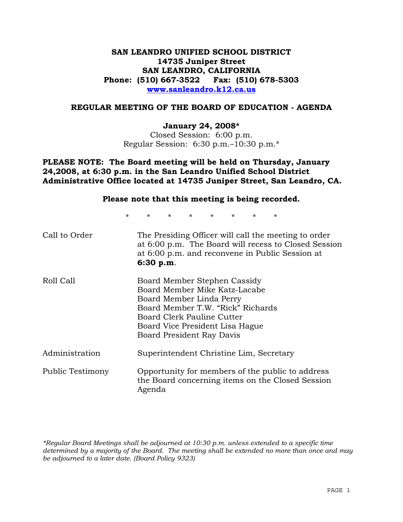## **SAN LEANDRO UNIFIED SCHOOL DISTRICT 14735 Juniper Street SAN LEANDRO, CALIFORNIA Phone: (510) 667-3522 Fax: (510) 678-5303 www.sanleandro.k12.ca.us**

#### **REGULAR MEETING OF THE BOARD OF EDUCATION - AGENDA**

#### **January 24, 2008\***

Closed Session: 6:00 p.m. Regular Session: 6:30 p.m.–10:30 p.m.\*

**PLEASE NOTE: The Board meeting will be held on Thursday, January 24,2008, at 6:30 p.m. in the San Leandro Unified School District Administrative Office located at 14735 Juniper Street, San Leandro, CA.** 

#### **Please note that this meeting is being recorded.**

\* \* \* \* \* \* \* \*

| Call to Order    | The Presiding Officer will call the meeting to order<br>at 6:00 p.m. The Board will recess to Closed Session<br>at 6:00 p.m. and reconvene in Public Session at<br>6:30 p.m.                                                 |
|------------------|------------------------------------------------------------------------------------------------------------------------------------------------------------------------------------------------------------------------------|
| Roll Call        | Board Member Stephen Cassidy<br>Board Member Mike Katz-Lacabe<br>Board Member Linda Perry<br>Board Member T.W. "Rick" Richards<br>Board Clerk Pauline Cutter<br>Board Vice President Lisa Hague<br>Board President Ray Davis |
| Administration   | Superintendent Christine Lim, Secretary                                                                                                                                                                                      |
| Public Testimony | Opportunity for members of the public to address<br>the Board concerning items on the Closed Session<br>Agenda                                                                                                               |

*\*Regular Board Meetings shall be adjourned at 10:30 p.m. unless extended to a specific time determined by a majority of the Board. The meeting shall be extended no more than once and may be adjourned to a later date. (Board Policy 9323)*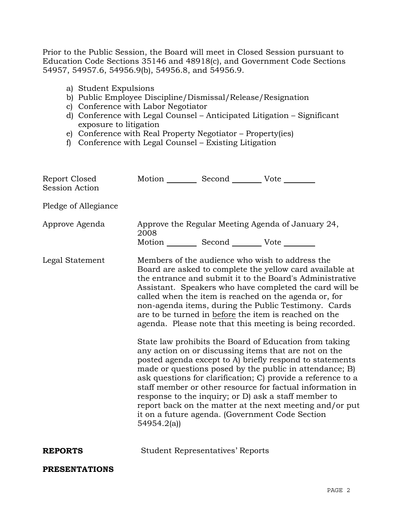Prior to the Public Session, the Board will meet in Closed Session pursuant to Education Code Sections 35146 and 48918(c), and Government Code Sections 54957, 54957.6, 54956.9(b), 54956.8, and 54956.9.

- a) Student Expulsions
- b) Public Employee Discipline/Dismissal/Release/Resignation
- c) Conference with Labor Negotiator
- d) Conference with Legal Counsel Anticipated Litigation Significant exposure to litigation
- e) Conference with Real Property Negotiator Property(ies)
- f) Conference with Legal Counsel Existing Litigation

| Report Closed<br><b>Session Action</b> | Motion __________ Second __________ Vote ________                                                                                                                                                                                                                                                                                                                                                                                                                                                                                                        |                                         |                                                                                                                                                                                                                                                                                                                                                                                                                                                                          |  |
|----------------------------------------|----------------------------------------------------------------------------------------------------------------------------------------------------------------------------------------------------------------------------------------------------------------------------------------------------------------------------------------------------------------------------------------------------------------------------------------------------------------------------------------------------------------------------------------------------------|-----------------------------------------|--------------------------------------------------------------------------------------------------------------------------------------------------------------------------------------------------------------------------------------------------------------------------------------------------------------------------------------------------------------------------------------------------------------------------------------------------------------------------|--|
| Pledge of Allegiance                   |                                                                                                                                                                                                                                                                                                                                                                                                                                                                                                                                                          |                                         |                                                                                                                                                                                                                                                                                                                                                                                                                                                                          |  |
| Approve Agenda                         | 2008<br>Motion __________ Second __________ Vote ________                                                                                                                                                                                                                                                                                                                                                                                                                                                                                                |                                         | Approve the Regular Meeting Agenda of January 24,                                                                                                                                                                                                                                                                                                                                                                                                                        |  |
| Legal Statement                        |                                                                                                                                                                                                                                                                                                                                                                                                                                                                                                                                                          |                                         | Members of the audience who wish to address the<br>Board are asked to complete the yellow card available at<br>the entrance and submit it to the Board's Administrative<br>Assistant. Speakers who have completed the card will be<br>called when the item is reached on the agenda or, for<br>non-agenda items, during the Public Testimony. Cards<br>are to be turned in before the item is reached on the<br>agenda. Please note that this meeting is being recorded. |  |
|                                        | State law prohibits the Board of Education from taking<br>any action on or discussing items that are not on the<br>posted agenda except to A) briefly respond to statements<br>made or questions posed by the public in attendance; B)<br>ask questions for clarification; C) provide a reference to a<br>staff member or other resource for factual information in<br>response to the inquiry; or D) ask a staff member to<br>report back on the matter at the next meeting and/or put<br>it on a future agenda. (Government Code Section<br>54954.2(a) |                                         |                                                                                                                                                                                                                                                                                                                                                                                                                                                                          |  |
| <b>REPORTS</b>                         |                                                                                                                                                                                                                                                                                                                                                                                                                                                                                                                                                          | <b>Student Representatives' Reports</b> |                                                                                                                                                                                                                                                                                                                                                                                                                                                                          |  |
| <b>PRESENTATIONS</b>                   |                                                                                                                                                                                                                                                                                                                                                                                                                                                                                                                                                          |                                         |                                                                                                                                                                                                                                                                                                                                                                                                                                                                          |  |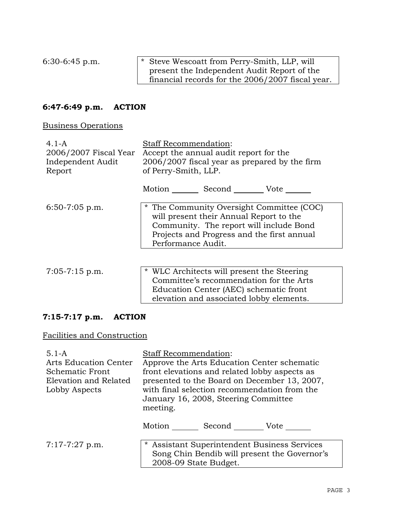6:30-6:45 p.m. \* Steve Wescoatt from Perry-Smith, LLP, will present the Independent Audit Report of the financial records for the 2006/2007 fiscal year.

# **6:47-6:49 p.m. ACTION**

Business Operations

| $4.1 - A$<br>2006/2007 Fiscal Year<br>Independent Audit<br>Report | <b>Staff Recommendation:</b><br>Accept the annual audit report for the<br>2006/2007 fiscal year as prepared by the firm<br>of Perry-Smith, LLP.                                                     |  |  |  |
|-------------------------------------------------------------------|-----------------------------------------------------------------------------------------------------------------------------------------------------------------------------------------------------|--|--|--|
|                                                                   | Motion Second Vote                                                                                                                                                                                  |  |  |  |
| $6:50-7:05$ p.m.                                                  | * The Community Oversight Committee (COC)<br>will present their Annual Report to the<br>Community. The report will include Bond<br>Projects and Progress and the first annual<br>Performance Audit. |  |  |  |
|                                                                   |                                                                                                                                                                                                     |  |  |  |
| $7:05 - 7:15$ p.m.                                                | * WLC Architects will present the Steering<br>Committee's recommendation for the Arts<br>Education Center (AEC) schematic front<br>elevation and associated lobby elements.                         |  |  |  |

## **7:15-7:17 p.m. ACTION**

# Facilities and Construction

| $5.1 - A$<br>Arts Education Center<br><b>Schematic Front</b><br>Elevation and Related<br>Lobby Aspects | <b>Staff Recommendation:</b><br>Approve the Arts Education Center schematic<br>front elevations and related lobby aspects as<br>presented to the Board on December 13, 2007,<br>with final selection recommendation from the<br>January 16, 2008, Steering Committee<br>meeting. |  |  |
|--------------------------------------------------------------------------------------------------------|----------------------------------------------------------------------------------------------------------------------------------------------------------------------------------------------------------------------------------------------------------------------------------|--|--|
|                                                                                                        | Motion Second Vote                                                                                                                                                                                                                                                               |  |  |
| $7:17 - 7:27$ p.m.                                                                                     | * Assistant Superintendent Business Services<br>Song Chin Bendib will present the Governor's<br>2008-09 State Budget.                                                                                                                                                            |  |  |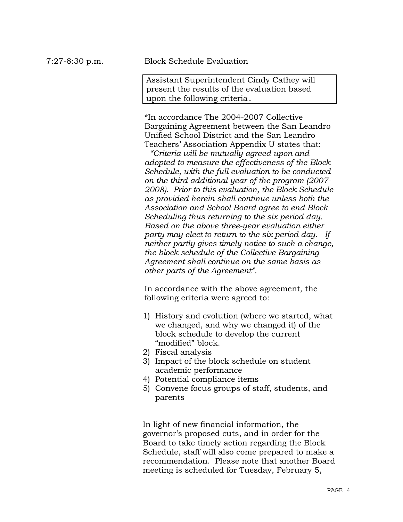### 7:27-8:30 p.m. Block Schedule Evaluation

Assistant Superintendent Cindy Cathey will present the results of the evaluation based upon the following criteria.

\*In accordance The 2004-2007 Collective Bargaining Agreement between the San Leandro Unified School District and the San Leandro Teachers' Association Appendix U states that:

 *"Criteria will be mutually agreed upon and adopted to measure the effectiveness of the Block Schedule, with the full evaluation to be conducted on the third additional year of the program (2007- 2008). Prior to this evaluation, the Block Schedule as provided herein shall continue unless both the Association and School Board agree to end Block Scheduling thus returning to the six period day. Based on the above three-year evaluation either party may elect to return to the six period day. If neither partly gives timely notice to such a change, the block schedule of the Collective Bargaining Agreement shall continue on the same basis as other parts of the Agreement".*

In accordance with the above agreement, the following criteria were agreed to:

- 1) History and evolution (where we started, what we changed, and why we changed it) of the block schedule to develop the current "modified" block.
- 2) Fiscal analysis
- 3) Impact of the block schedule on student academic performance
- 4) Potential compliance items
- 5) Convene focus groups of staff, students, and parents

In light of new financial information, the governor's proposed cuts, and in order for the Board to take timely action regarding the Block Schedule, staff will also come prepared to make a recommendation. Please note that another Board meeting is scheduled for Tuesday, February 5,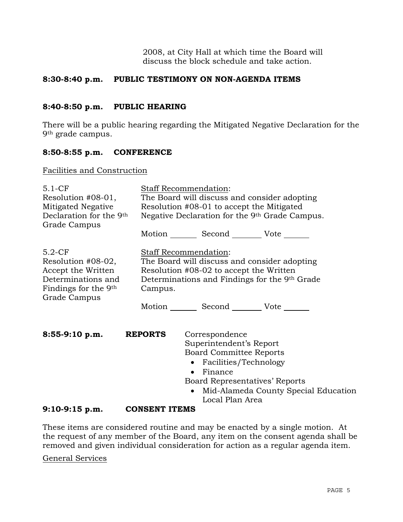2008, at City Hall at which time the Board will discuss the block schedule and take action.

### **8:30-8:40 p.m. PUBLIC TESTIMONY ON NON-AGENDA ITEMS**

#### **8:40-8:50 p.m. PUBLIC HEARING**

There will be a public hearing regarding the Mitigated Negative Declaration for the 9th grade campus.

#### **8:50-8:55 p.m. CONFERENCE**

Facilities and Construction

| $5.1-CF$<br>Resolution #08-01,<br>Mitigated Negative<br>Declaration for the 9 <sup>th</sup><br>Grade Campus        | Staff Recommendation:<br>The Board will discuss and consider adopting<br>Resolution #08-01 to accept the Mitigated<br>Negative Declaration for the 9th Grade Campus.<br>Motion Second Vote ______ |                                                                                                                                |                                                                        |  |
|--------------------------------------------------------------------------------------------------------------------|---------------------------------------------------------------------------------------------------------------------------------------------------------------------------------------------------|--------------------------------------------------------------------------------------------------------------------------------|------------------------------------------------------------------------|--|
|                                                                                                                    |                                                                                                                                                                                                   |                                                                                                                                |                                                                        |  |
| $5.2-CF$<br>Resolution #08-02,<br>Accept the Written<br>Determinations and<br>Findings for the 9th<br>Grade Campus | Staff Recommendation:<br>The Board will discuss and consider adopting<br>Resolution #08-02 to accept the Written<br>Determinations and Findings for the 9th Grade<br>Campus.                      |                                                                                                                                |                                                                        |  |
|                                                                                                                    |                                                                                                                                                                                                   | Motion _________ Second __________ Vote _______                                                                                |                                                                        |  |
| $8:55-9:10$ p.m.                                                                                                   | <b>REPORTS</b>                                                                                                                                                                                    | Correspondence<br>Superintendent's Report<br><b>Board Committee Reports</b><br>• Facilities/Technology<br>Finance<br>$\bullet$ |                                                                        |  |
|                                                                                                                    |                                                                                                                                                                                                   | $\bullet$                                                                                                                      | Board Representatives' Reports<br>Mid-Alameda County Special Education |  |
|                                                                                                                    |                                                                                                                                                                                                   | Local Plan Area                                                                                                                |                                                                        |  |
| $9:10-9:15$ p.m.                                                                                                   | <b>CONSENT ITEMS</b>                                                                                                                                                                              |                                                                                                                                |                                                                        |  |

These items are considered routine and may be enacted by a single motion. At the request of any member of the Board, any item on the consent agenda shall be removed and given individual consideration for action as a regular agenda item.

General Services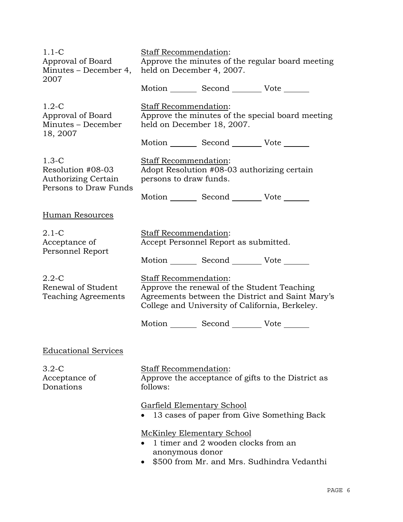| $1.1-C$<br>Approval of Board<br>Minutes – December 4,<br>2007                       | <b>Staff Recommendation:</b><br>Approve the minutes of the regular board meeting<br>held on December 4, 2007.                                                               |  |  |
|-------------------------------------------------------------------------------------|-----------------------------------------------------------------------------------------------------------------------------------------------------------------------------|--|--|
|                                                                                     | Motion _________ Second __________ Vote _______                                                                                                                             |  |  |
| $1.2-C$<br>Approval of Board<br>Minutes - December                                  | <b>Staff Recommendation:</b><br>Approve the minutes of the special board meeting<br>held on December 18, 2007.                                                              |  |  |
| 18, 2007                                                                            | Motion _________ Second __________ Vote _______                                                                                                                             |  |  |
| $1.3-C$<br>Resolution #08-03<br><b>Authorizing Certain</b><br>Persons to Draw Funds | Staff Recommendation:<br>Adopt Resolution #08-03 authorizing certain<br>persons to draw funds.                                                                              |  |  |
|                                                                                     | Motion _________ Second __________ Vote _______                                                                                                                             |  |  |
| <b>Human Resources</b>                                                              |                                                                                                                                                                             |  |  |
| $2.1 - C$<br>Acceptance of                                                          | Staff Recommendation:<br>Accept Personnel Report as submitted.                                                                                                              |  |  |
| Personnel Report                                                                    | Motion _________ Second __________ Vote _______                                                                                                                             |  |  |
| $2.2 - C$<br>Renewal of Student<br><b>Teaching Agreements</b>                       | Staff Recommendation:<br>Approve the renewal of the Student Teaching<br>Agreements between the District and Saint Mary's<br>College and University of California, Berkeley. |  |  |
|                                                                                     | Motion _________ Second __________ Vote _______                                                                                                                             |  |  |
| <b>Educational Services</b>                                                         |                                                                                                                                                                             |  |  |
| $3.2 - C$<br>Acceptance of<br>Donations                                             | <b>Staff Recommendation:</b><br>Approve the acceptance of gifts to the District as<br>follows:                                                                              |  |  |
|                                                                                     | Garfield Elementary School<br>13 cases of paper from Give Something Back                                                                                                    |  |  |
|                                                                                     | <b>McKinley Elementary School</b><br>1 timer and 2 wooden clocks from an<br>anonymous donor<br>\$500 from Mr. and Mrs. Sudhindra Vedanthi                                   |  |  |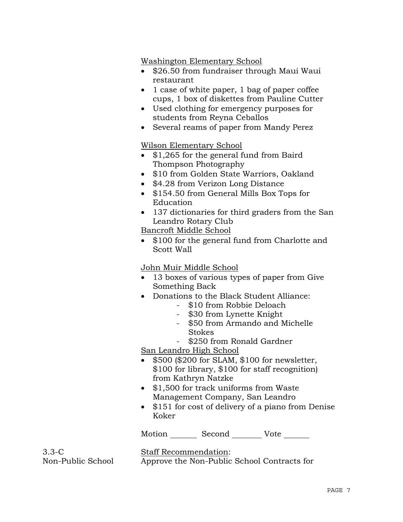Washington Elementary School

- \$26.50 from fundraiser through Maui Waui restaurant
- 1 case of white paper, 1 bag of paper coffee cups, 1 box of diskettes from Pauline Cutter
- Used clothing for emergency purposes for students from Reyna Ceballos
- Several reams of paper from Mandy Perez

## Wilson Elementary School

- \$1,265 for the general fund from Baird Thompson Photography
- \$10 from Golden State Warriors, Oakland
- \$4.28 from Verizon Long Distance
- \$154.50 from General Mills Box Tops for Education
- 137 dictionaries for third graders from the San Leandro Rotary Club

Bancroft Middle School

• \$100 for the general fund from Charlotte and Scott Wall

## John Muir Middle School

- 13 boxes of various types of paper from Give Something Back
- Donations to the Black Student Alliance:
	- \$10 from Robbie Deloach
	- \$30 from Lynette Knight
	- \$50 from Armando and Michelle Stokes
	- \$250 from Ronald Gardner

San Leandro High School

- \$500 (\$200 for SLAM, \$100 for newsletter, \$100 for library, \$100 for staff recognition) from Kathryn Natzke
- \$1,500 for track uniforms from Waste Management Company, San Leandro
- \$151 for cost of delivery of a piano from Denise Koker

Motion Second Vote

3.3-C Non-Public School Staff Recommendation: Approve the Non-Public School Contracts for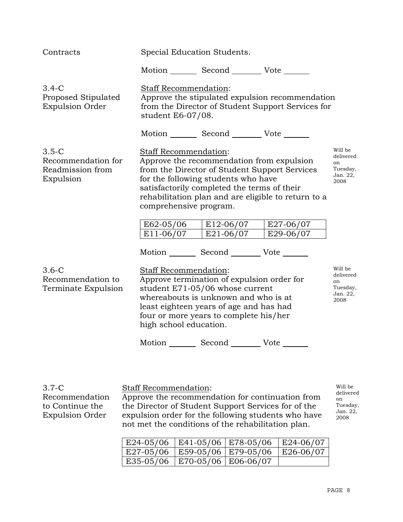| Contracts                                                      | Special Education Students.                                                                                                                                                                                                                                   |                                                                                                                                                                                  |                                                     |                                                            |
|----------------------------------------------------------------|---------------------------------------------------------------------------------------------------------------------------------------------------------------------------------------------------------------------------------------------------------------|----------------------------------------------------------------------------------------------------------------------------------------------------------------------------------|-----------------------------------------------------|------------------------------------------------------------|
|                                                                |                                                                                                                                                                                                                                                               | Motion _________ Second __________ Vote _______                                                                                                                                  |                                                     |                                                            |
| $3.4-C$<br>Proposed Stipulated<br><b>Expulsion Order</b>       | Staff Recommendation:<br>Approve the stipulated expulsion recommendation<br>from the Director of Student Support Services for<br>student E6-07/08.                                                                                                            |                                                                                                                                                                                  |                                                     |                                                            |
|                                                                |                                                                                                                                                                                                                                                               | Motion _________ Second __________ Vote _______                                                                                                                                  |                                                     |                                                            |
| $3.5-C$<br>Recommendation for<br>Readmission from<br>Expulsion | Staff Recommendation:<br>comprehensive program.                                                                                                                                                                                                               | Approve the recommendation from expulsion<br>from the Director of Student Support Services<br>for the following students who have<br>satisfactorily completed the terms of their | rehabilitation plan and are eligible to return to a | Will be<br>delivered<br>on<br>Tuesday,<br>Jan. 22,<br>2008 |
|                                                                | E62-05/06                                                                                                                                                                                                                                                     | E12-06/07                                                                                                                                                                        | E27-06/07                                           |                                                            |
|                                                                | E11-06/07                                                                                                                                                                                                                                                     | E21-06/07                                                                                                                                                                        | E29-06/07                                           |                                                            |
|                                                                |                                                                                                                                                                                                                                                               | Motion _________ Second _________ Vote _______                                                                                                                                   |                                                     |                                                            |
| $3.6-C$<br>Recommendation to<br>Terminate Expulsion            | Staff Recommendation:<br>Approve termination of expulsion order for<br>student E71-05/06 whose current<br>whereabouts is unknown and who is at<br>least eighteen years of age and has had<br>four or more years to complete his/her<br>high school education. |                                                                                                                                                                                  |                                                     | Will be<br>delivered<br>on<br>Tuesday,<br>Jan. 22,<br>2008 |
|                                                                |                                                                                                                                                                                                                                                               | Motion _________ Second __________ Vote ______                                                                                                                                   |                                                     |                                                            |
|                                                                |                                                                                                                                                                                                                                                               |                                                                                                                                                                                  |                                                     |                                                            |
| $3.7-C$                                                        | <b>Staff Recommendation:</b>                                                                                                                                                                                                                                  |                                                                                                                                                                                  |                                                     | Will be                                                    |

Recommendation to Continue the Expulsion Order

Approve the recommendation for continuation from the Director of Student Support Services for of the expulsion order for the following students who have not met the conditions of the rehabilitation plan.

delivered on Tuesday, Jan. 22, 2008

| $ E24-05/06 E41-05/06 E78-05/06 E24-06/07$              |  |  |
|---------------------------------------------------------|--|--|
| $ $ E27-05/06 $ $ E59-05/06 $ $ E79-05/06 $ $ E26-06/07 |  |  |
| E35-05/06   E70-05/06   E06-06/07                       |  |  |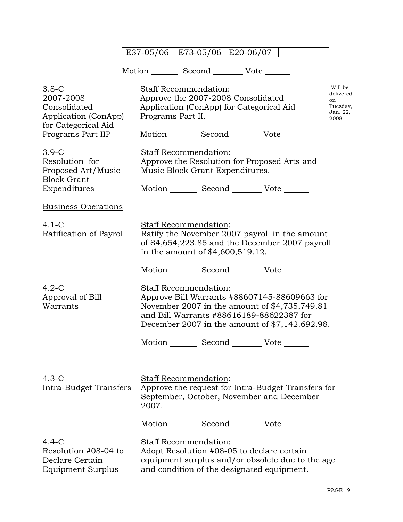|                                                                                                          |                   | E37-05/06   E73-05/06   E20-06/07                                                                                                                                                                                    |  |                                                            |
|----------------------------------------------------------------------------------------------------------|-------------------|----------------------------------------------------------------------------------------------------------------------------------------------------------------------------------------------------------------------|--|------------------------------------------------------------|
|                                                                                                          |                   | Motion _________ Second __________ Vote _______                                                                                                                                                                      |  |                                                            |
| $3.8-C$<br>2007-2008<br>Consolidated<br>Application (ConApp)<br>for Categorical Aid<br>Programs Part IIP | Programs Part II. | <b>Staff Recommendation:</b><br>Approve the 2007-2008 Consolidated<br>Application (ConApp) for Categorical Aid<br>Motion _________ Second __________ Vote _______                                                    |  | Will be<br>delivered<br>on<br>Tuesday,<br>Jan. 22,<br>2008 |
| $3.9-C$<br>Resolution for<br>Proposed Art/Music<br><b>Block Grant</b><br>Expenditures                    |                   | Staff Recommendation:<br>Approve the Resolution for Proposed Arts and<br>Music Block Grant Expenditures.<br>Motion _________ Second __________ Vote _______                                                          |  |                                                            |
| <b>Business Operations</b>                                                                               |                   |                                                                                                                                                                                                                      |  |                                                            |
| $4.1 - C$<br>Ratification of Payroll                                                                     |                   | Staff Recommendation:<br>Ratify the November 2007 payroll in the amount<br>of $$4,654,223.85$ and the December 2007 payroll<br>in the amount of \$4,600,519.12.                                                      |  |                                                            |
|                                                                                                          |                   | Motion _________ Second __________ Vote _______                                                                                                                                                                      |  |                                                            |
| $4.2 - C$<br>Approval of Bill<br>Warrants                                                                |                   | Staff Recommendation:<br>Approve Bill Warrants #88607145-88609663 for<br>November 2007 in the amount of \$4,735,749.81<br>and Bill Warrants #88616189-88622387 for<br>December 2007 in the amount of \$7,142.692.98. |  |                                                            |
|                                                                                                          |                   | Motion _________ Second __________ Vote _____                                                                                                                                                                        |  |                                                            |
| $4.3-C$<br>Intra-Budget Transfers                                                                        | 2007.             | Staff Recommendation:<br>Approve the request for Intra-Budget Transfers for<br>September, October, November and December                                                                                             |  |                                                            |
|                                                                                                          |                   | Motion _________ Second ___________ Vote _______                                                                                                                                                                     |  |                                                            |
| $4.4-C$<br>Resolution #08-04 to<br>Declare Certain<br>Equipment Surplus                                  |                   | Staff Recommendation:<br>Adopt Resolution #08-05 to declare certain<br>equipment surplus and/or obsolete due to the age<br>and condition of the designated equipment.                                                |  |                                                            |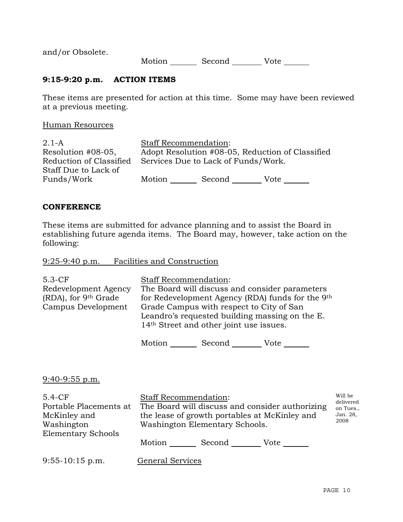and/or Obsolete.

Motion Second Vote

## **9:15-9:20 p.m. ACTION ITEMS**

These items are presented for action at this time. Some may have been reviewed at a previous meeting.

#### Human Resources

|                                     | Adopt Resolution #08-05, Reduction of Classified |
|-------------------------------------|--------------------------------------------------|
| Services Due to Lack of Funds/Work. |                                                  |
|                                     |                                                  |
| Second                              | Vote                                             |
|                                     | <b>Staff Recommendation:</b><br>Motion           |

#### **CONFERENCE**

These items are submitted for advance planning and to assist the Board in establishing future agenda items. The Board may, however, take action on the following:

9:25-9:40 p.m. Facilities and Construction

| $5.3-CF$                         | <b>Staff Recommendation:</b>                        |
|----------------------------------|-----------------------------------------------------|
| Redevelopment Agency             | The Board will discuss and consider parameters      |
| (RDA), for 9 <sup>th</sup> Grade | for Redevelopment Agency (RDA) funds for the 9th    |
| Campus Development               | Grade Campus with respect to City of San            |
|                                  | Leandro's requested building massing on the E.      |
|                                  | 14 <sup>th</sup> Street and other joint use issues. |
|                                  |                                                     |

Motion Second Vote \_\_\_\_\_\_

9:40-9:55 p.m.

| $5.4-CF$                  | <b>Staff Recommendation:</b>                    | Will be<br>delivered |  |
|---------------------------|-------------------------------------------------|----------------------|--|
| Portable Placements at    | The Board will discuss and consider authorizing |                      |  |
| McKinley and              | the lease of growth portables at McKinley and   | Jan. 28,             |  |
| Washington                | Washington Elementary Schools.                  | 2008                 |  |
| <b>Elementary Schools</b> |                                                 |                      |  |
|                           | Second<br>Motion<br>Vote                        |                      |  |
| $9:55 - 10:15$ p.m.       | <b>General Services</b>                         |                      |  |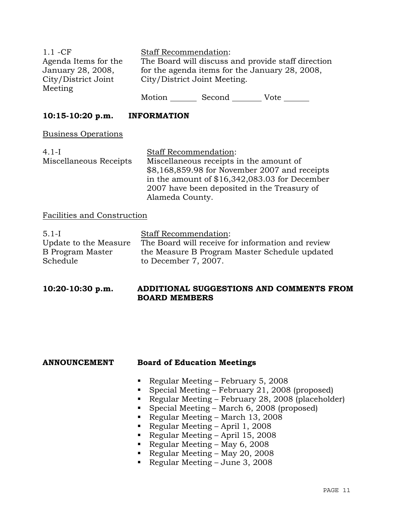| $1.1 - CF$           |                                                    | <b>Staff Recommendation:</b> |      |  |
|----------------------|----------------------------------------------------|------------------------------|------|--|
| Agenda Items for the | The Board will discuss and provide staff direction |                              |      |  |
| January 28, 2008,    | for the agenda items for the January 28, 2008,     |                              |      |  |
| City/District Joint  | City/District Joint Meeting.                       |                              |      |  |
| Meeting              |                                                    |                              |      |  |
|                      | Motion                                             | Second                       | Vote |  |

## **10:15-10:20 p.m. INFORMATION**

Business Operations

| $4.1-I$                | <b>Staff Recommendation:</b>                   |
|------------------------|------------------------------------------------|
| Miscellaneous Receipts | Miscellaneous receipts in the amount of        |
|                        | \$8,168,859.98 for November 2007 and receipts  |
|                        | in the amount of $$16,342,083.03$ for December |
|                        | 2007 have been deposited in the Treasury of    |
|                        | Alameda County.                                |

#### Facilities and Construction

| $5.1-I$               | <b>Staff Recommendation:</b>                      |
|-----------------------|---------------------------------------------------|
| Update to the Measure | The Board will receive for information and review |
| B Program Master      | the Measure B Program Master Schedule updated     |
| Schedule              | to December 7, 2007.                              |

## **10:20-10:30 p.m. ADDITIONAL SUGGESTIONS AND COMMENTS FROM BOARD MEMBERS**

## **ANNOUNCEMENT Board of Education Meetings**

- Regular Meeting February 5, 2008
- Special Meeting February 21, 2008 (proposed)
- Regular Meeting February 28, 2008 (placeholder)
- Special Meeting March 6, 2008 (proposed)
- Regular Meeting March 13, 2008
- Regular Meeting April 1, 2008
- Regular Meeting April 15, 2008
- Regular Meeting May 6, 2008
- Regular Meeting May 20, 2008
- Regular Meeting June 3, 2008